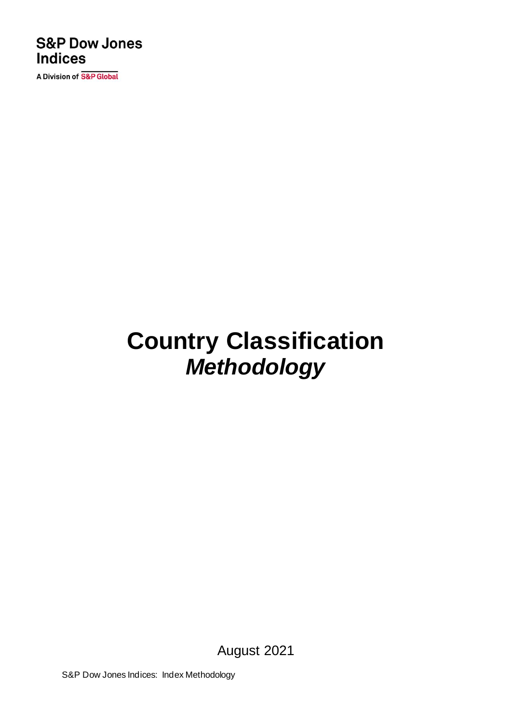### **S&P Dow Jones Indices**

A Division of S&P Global

# **Country Classification** *Methodology*

August 2021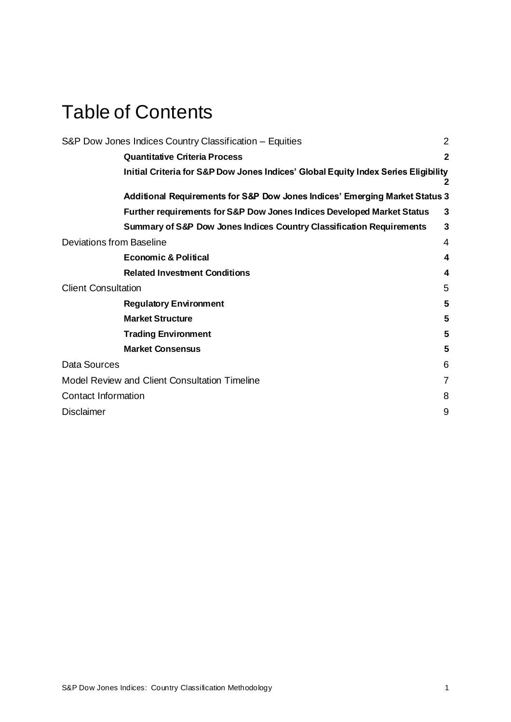### Table of Contents

| S&P Dow Jones Indices Country Classification - Equities                            | $\overline{2}$ |
|------------------------------------------------------------------------------------|----------------|
| <b>Quantitative Criteria Process</b>                                               | $\overline{2}$ |
| Initial Criteria for S&P Dow Jones Indices' Global Equity Index Series Eligibility | 2              |
| Additional Requirements for S&P Dow Jones Indices' Emerging Market Status 3        |                |
| Further requirements for S&P Dow Jones Indices Developed Market Status             | 3              |
| <b>Summary of S&amp;P Dow Jones Indices Country Classification Requirements</b>    | 3              |
| Deviations from Baseline                                                           | 4              |
| <b>Economic &amp; Political</b>                                                    | 4              |
| <b>Related Investment Conditions</b>                                               | 4              |
| <b>Client Consultation</b>                                                         | 5              |
| <b>Regulatory Environment</b>                                                      | 5              |
| <b>Market Structure</b>                                                            | 5              |
| <b>Trading Environment</b>                                                         | 5              |
| <b>Market Consensus</b>                                                            | 5              |
| Data Sources                                                                       | 6              |
| Model Review and Client Consultation Timeline                                      | 7              |
| <b>Contact Information</b>                                                         | 8              |
| <b>Disclaimer</b>                                                                  | 9              |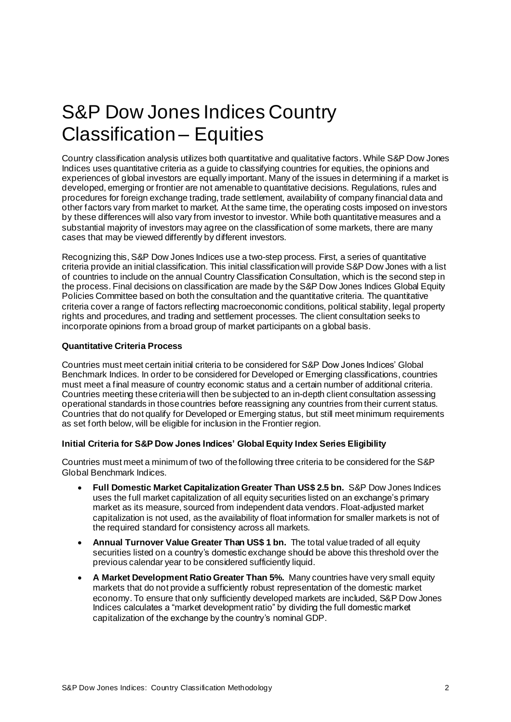### <span id="page-2-0"></span>S&P Dow Jones Indices Country Classification – Equities

Country classification analysis utilizes both quantitative and qualitative factors. While S&P Dow Jones Indices uses quantitative criteria as a guide to classifying countries for equities, the opinions and experiences of global investors are equally important. Many of the issues in determining if a market is developed, emerging or frontier are not amenable to quantitative decisions. Regulations, rules and procedures for foreign exchange trading, trade settlement, availability of company financial data and other factors vary from market to market. At the same time, the operating costs imposed on investors by these differences will also vary from investor to investor. While both quantitative measures and a substantial majority of investors may agree on the classification of some markets, there are many cases that may be viewed differently by different investors.

Recognizing this, S&P Dow Jones Indices use a two-step process. First, a series of quantitative criteria provide an initial classification. This initial classification will provide S&P Dow Jones with a list of countries to include on the annual Country Classification Consultation, which is the second step in the process. Final decisions on classification are made by the S&P Dow Jones Indices Global Equity Policies Committee based on both the consultation and the quantitative criteria. The quantitative criteria cover a range of factors reflecting macroeconomic conditions, political stability, legal property rights and procedures, and trading and settlement processes. The client consultation seeks to incorporate opinions from a broad group of market participants on a global basis.

#### <span id="page-2-1"></span>**Quantitative Criteria Process**

Countries must meet certain initial criteria to be considered for S&P Dow Jones Indices' Global Benchmark Indices. In order to be considered for Developed or Emerging classifications, countries must meet a final measure of country economic status and a certain number of additional criteria. Countries meeting these criteria will then be subjected to an in-depth client consultation assessing operational standards in those countries before reassigning any countries from their current status. Countries that do not qualify for Developed or Emerging status, but still meet minimum requirements as set forth below, will be eligible for inclusion in the Frontier region.

#### <span id="page-2-2"></span>**Initial Criteria for S&P Dow Jones Indices' Global Equity Index Series Eligibility**

Countries must meet a minimum of two of the following three criteria to be considered for the S&P Global Benchmark Indices.

- **Full Domestic Market Capitalization Greater Than US\$ 2.5 bn.** S&P Dow Jones Indices uses the full market capitalization of all equity securities listed on an exchange's primary market as its measure, sourced from independent data vendors. Float-adjusted market capitalization is not used, as the availability of float information for smaller markets is not of the required standard for consistency across all markets.
- **Annual Turnover Value Greater Than US\$ 1 bn.** The total value traded of all equity securities listed on a country's domestic exchange should be above this threshold over the previous calendar year to be considered sufficiently liquid.
- **A Market Development Ratio Greater Than 5%.** Many countries have very small equity markets that do not provide a sufficiently robust representation of the domestic market economy. To ensure that only sufficiently developed markets are included, S&P Dow Jones Indices calculates a "market development ratio" by dividing the full domestic market capitalization of the exchange by the country's nominal GDP.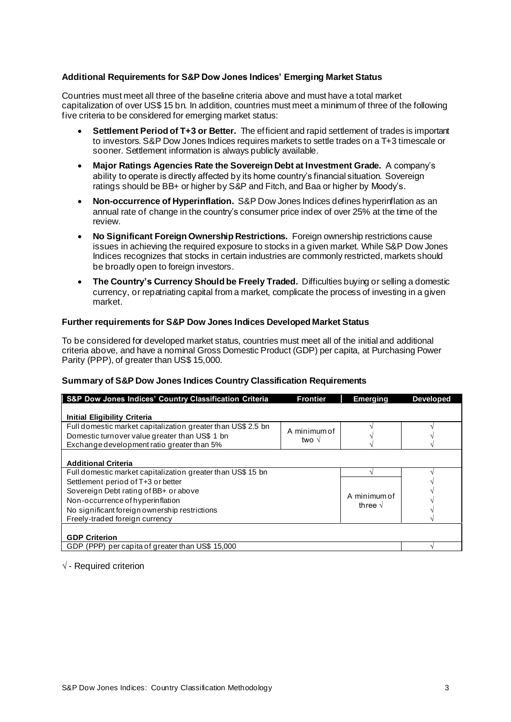#### <span id="page-3-0"></span>**Additional Requirements for S&P Dow Jones Indices' Emerging Market Status**

Countries must meet all three of the baseline criteria above and must have a total market capitalization of over US\$ 15 bn. In addition, countries must meet a minimum of three of the following five criteria to be considered for emerging market status:

- **Settlement Period of T+3 or Better.** The efficient and rapid settlement of trades is important to investors. S&P Dow Jones Indices requires markets to settle trades on a T+3 timescale or sooner. Settlement information is always publicly available.
- **Major Ratings Agencies Rate the Sovereign Debt at Investment Grade.** A company's ability to operate is directly affected by its home country's financial situation. Sovereign ratings should be BB+ or higher by S&P and Fitch, and Baa or higher by Moody's.
- **Non-occurrence of Hyperinflation.** S&P Dow Jones Indices defines hyperinflation as an annual rate of change in the country's consumer price index of over 25% at the time of the review.
- **No Significant Foreign Ownership Restrictions.** Foreign ownership restrictions cause issues in achieving the required exposure to stocks in a given market. While S&P Dow Jones Indices recognizes that stocks in certain industries are commonly restricted, markets should be broadly open to foreign investors.
- **The Country's Currency Should be Freely Traded.** Difficulties buying or selling a domestic currency, or repatriating capital from a market, complicate the process of investing in a given market.

#### <span id="page-3-1"></span>**Further requirements for S&P Dow Jones Indices Developed Market Status**

To be considered for developed market status, countries must meet all of the initial and additional criteria above, and have a nominal Gross Domestic Product (GDP) per capita, at Purchasing Power Parity (PPP), of greater than US\$ 15,000.

#### <span id="page-3-2"></span>**Summary of S&P Dow Jones Indices Country Classification Requirements**

| S&P Dow Jones Indices' Country Classification Criteria                                                                                                                                             | <b>Frontier</b>       | <b>Emerging</b>                  | <b>Developed</b> |
|----------------------------------------------------------------------------------------------------------------------------------------------------------------------------------------------------|-----------------------|----------------------------------|------------------|
| <b>Initial Eligibility Criteria</b>                                                                                                                                                                |                       |                                  |                  |
| Full domestic market capitalization greater than US\$ 2.5 bn<br>Domestic turnover value greater than US\$ 1 bn<br>Exchange development ratio greater than 5%                                       | A minimum of<br>two √ |                                  |                  |
| <b>Additional Criteria</b>                                                                                                                                                                         |                       |                                  |                  |
| Full domestic market capitalization greater than US\$ 15 bn                                                                                                                                        |                       |                                  |                  |
| Settlement period of T+3 or better<br>Sovereign Debt rating of BB+ or above<br>Non-occurrence of hyperinflation<br>No significant foreign ownership restrictions<br>Freely-traded foreign currency |                       | A minimum of<br>three $\sqrt{ }$ |                  |
| <b>GDP Criterion</b>                                                                                                                                                                               |                       |                                  |                  |
| GDP (PPP) per capita of greater than US\$ 15,000                                                                                                                                                   |                       |                                  |                  |

 $\sqrt{\ }$  - Required criterion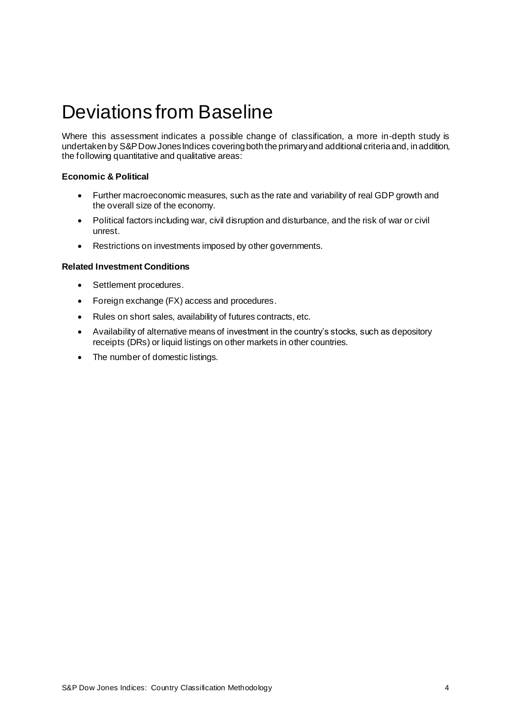### <span id="page-4-0"></span>Deviations from Baseline

Where this assessment indicates a possible change of classification, a more in-depth study is undertaken by S&P Dow Jones Indices covering both the primary and additional criteria and, in addition, the following quantitative and qualitative areas:

#### <span id="page-4-1"></span>**Economic & Political**

- Further macroeconomic measures, such as the rate and variability of real GDP growth and the overall size of the economy.
- Political factors including war, civil disruption and disturbance, and the risk of war or civil unrest.
- Restrictions on investments imposed by other governments.

#### <span id="page-4-2"></span>**Related Investment Conditions**

- Settlement procedures.
- Foreign exchange (FX) access and procedures.
- Rules on short sales, availability of futures contracts, etc.
- Availability of alternative means of investment in the country's stocks, such as depository receipts (DRs) or liquid listings on other markets in other countries.
- The number of domestic listings.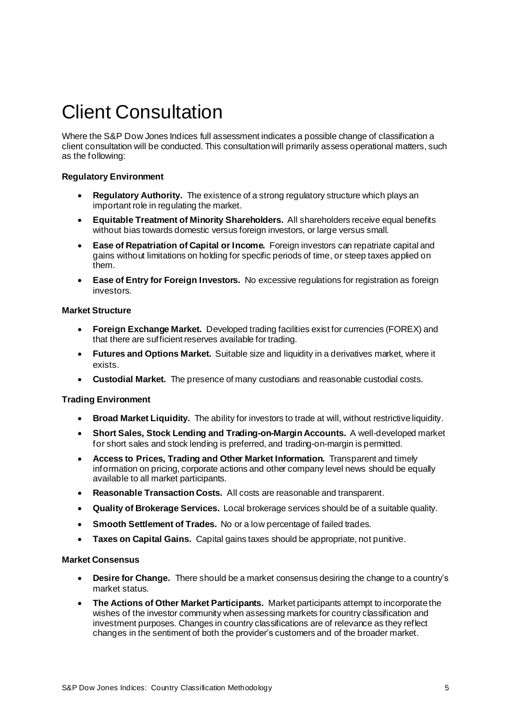### <span id="page-5-0"></span>Client Consultation

Where the S&P Dow Jones Indices full assessment indicates a possible change of classification a client consultation will be conducted. This consultation will primarily assess operational matters, such as the following:

#### <span id="page-5-1"></span>**Regulatory Environment**

- **Regulatory Authority.** The existence of a strong regulatory structure which plays an important role in regulating the market.
- **Equitable Treatment of Minority Shareholders.** All shareholders receive equal benefits without bias towards domestic versus foreign investors, or large versus small.
- **Ease of Repatriation of Capital or Income.** Foreign investors can repatriate capital and gains without limitations on holding for specific periods of time, or steep taxes applied on them.
- **Ease of Entry for Foreign Investors.** No excessive regulations for registration as foreign investors.

#### <span id="page-5-2"></span>**Market Structure**

- **Foreign Exchange Market.** Developed trading facilities exist for currencies (FOREX) and that there are sufficient reserves available for trading.
- **Futures and Options Market.** Suitable size and liquidity in a derivatives market, where it exists.
- **Custodial Market.** The presence of many custodians and reasonable custodial costs.

#### <span id="page-5-3"></span>**Trading Environment**

- **Broad Market Liquidity.** The ability for investors to trade at will, without restrictive liquidity.
- **Short Sales, Stock Lending and Trading-on-Margin Accounts.** A well-developed market for short sales and stock lending is preferred, and trading-on-margin is permitted.
- **Access to Prices, Trading and Other Market Information.** Transparent and timely information on pricing, corporate actions and other company level news should be equally available to all market participants.
- **Reasonable Transaction Costs.** All costs are reasonable and transparent.
- **Quality of Brokerage Services.** Local brokerage services should be of a suitable quality.
- **Smooth Settlement of Trades.** No or a low percentage of failed trades.
- **Taxes on Capital Gains.** Capital gains taxes should be appropriate, not punitive.

#### <span id="page-5-4"></span>**Market Consensus**

- **Desire for Change.** There should be a market consensus desiring the change to a country's market status.
- **The Actions of Other Market Participants.** Market participants attempt to incorporate the wishes of the investor community when assessing markets for country classification and investment purposes. Changes in country classifications are of relevance as they reflect changes in the sentiment of both the provider's customers and of the broader market.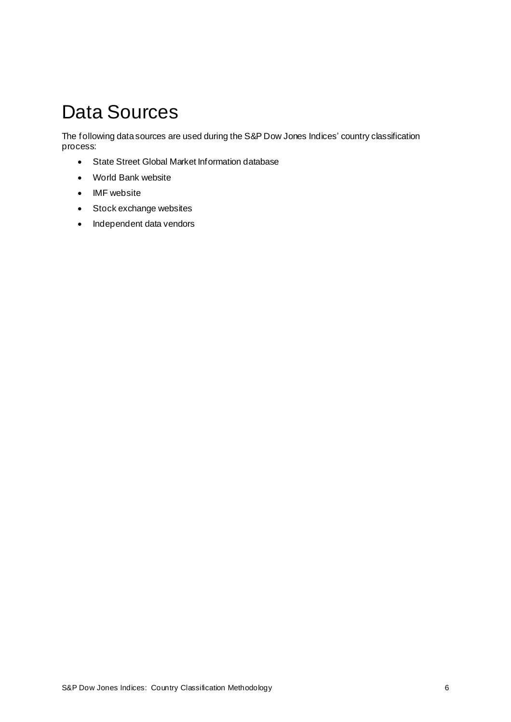### <span id="page-6-0"></span>Data Sources

The following data sources are used during the S&P Dow Jones Indices' country classification process:

- State Street Global Market Information database
- World Bank website
- IMF website
- Stock exchange websites
- Independent data vendors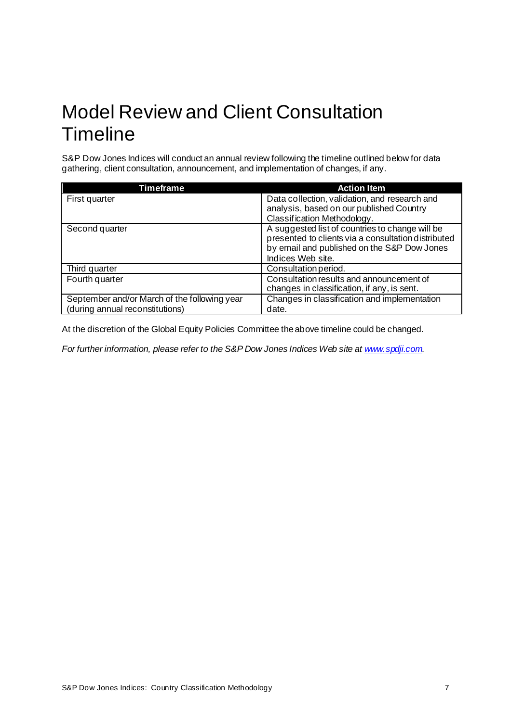### <span id="page-7-0"></span>Model Review and Client Consultation **Timeline**

S&P Dow Jones Indices will conduct an annual review following the timeline outlined below for data gathering, client consultation, announcement, and implementation of changes, if any.

| Timeframe                                    | <b>Action Item</b>                                                                                                                                                         |
|----------------------------------------------|----------------------------------------------------------------------------------------------------------------------------------------------------------------------------|
| First quarter                                | Data collection, validation, and research and                                                                                                                              |
|                                              | analysis, based on our published Country                                                                                                                                   |
|                                              | Classification Methodology.                                                                                                                                                |
| Second quarter                               | A suggested list of countries to change will be<br>presented to clients via a consultation distributed<br>by email and published on the S&P Dow Jones<br>Indices Web site. |
| Third quarter                                | Consultation period.                                                                                                                                                       |
| Fourth quarter                               | Consultation results and announcement of                                                                                                                                   |
|                                              | changes in classification, if any, is sent.                                                                                                                                |
| September and/or March of the following year | Changes in classification and implementation                                                                                                                               |
| (during annual reconstitutions)              | date.                                                                                                                                                                      |

At the discretion of the Global Equity Policies Committee the above timeline could be changed.

*For further information, please refer to the S&P Dow Jones Indices Web site a[t www.spdji.com](http://www.spdji.com/).*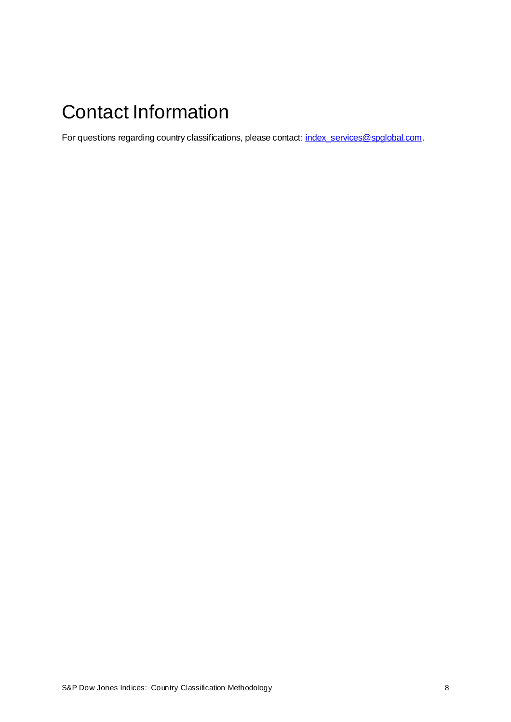## <span id="page-8-0"></span>Contact Information

For questions regarding country classifications, please contact[: index\\_services@spglobal.com](mailto:index_services@spglobal.com).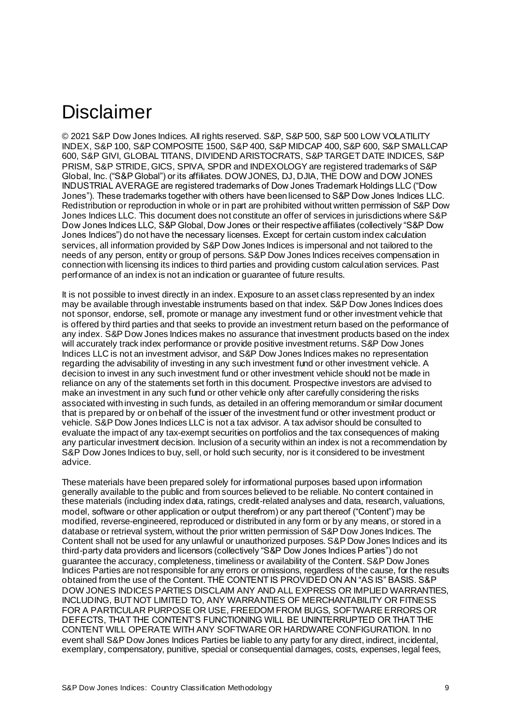### <span id="page-9-0"></span>Disclaimer

© 2021 S&P Dow Jones Indices. All rights reserved. S&P, S&P 500, S&P 500 LOW VOLATILITY INDEX, S&P 100, S&P COMPOSITE 1500, S&P 400, S&P MIDCAP 400, S&P 600, S&P SMALLCAP 600, S&P GIVI, GLOBAL TITANS, DIVIDEND ARISTOCRATS, S&P TARGET DATE INDICES, S&P PRISM, S&P STRIDE, GICS, SPIVA, SPDR and INDEXOLOGY are registered trademarks of S&P Global, Inc. ("S&P Global") or its affiliates. DOW JONES, DJ, DJIA, THE DOW and DOW JONES INDUSTRIAL AVERAGE are registered trademarks of Dow Jones Trademark Holdings LLC ("Dow Jones"). These trademarks together with others have been licensed to S&P Dow Jones Indices LLC. Redistribution or reproduction in whole or in part are prohibited without written permission of S&P Dow Jones Indices LLC. This document does not constitute an offer of services in jurisdictions where S&P Dow Jones Indices LLC, S&P Global, Dow Jones or their respective affiliates (collectively "S&P Dow Jones Indices") do not have the necessary licenses. Except for certain custom index calculation services, all information provided by S&P Dow Jones Indices is impersonal and not tailored to the needs of any person, entity or group of persons. S&P Dow Jones Indices receives compensation in connection with licensing its indices to third parties and providing custom calculation services. Past performance of an index is not an indication or guarantee of future results.

It is not possible to invest directly in an index. Exposure to an asset class represented by an index may be available through investable instruments based on that index. S&P Dow Jones Indices does not sponsor, endorse, sell, promote or manage any investment fund or other investment vehicle that is offered by third parties and that seeks to provide an investment return based on the performance of any index. S&P Dow Jones Indices makes no assurance that investment products based on the index will accurately track index performance or provide positive investment returns. S&P Dow Jones Indices LLC is not an investment advisor, and S&P Dow Jones Indices makes no representation regarding the advisability of investing in any such investment fund or other investment vehicle. A decision to invest in any such investment fund or other investment vehicle should not be made in reliance on any of the statements set forth in this document. Prospective investors are advised to make an investment in any such fund or other vehicle only after carefully considering the risks associated with investing in such funds, as detailed in an offering memorandum or similar document that is prepared by or on behalf of the issuer of the investment fund or other investment product or vehicle. S&P Dow Jones Indices LLC is not a tax advisor. A tax advisor should be consulted to evaluate the impact of any tax-exempt securities on portfolios and the tax consequences of making any particular investment decision. Inclusion of a security within an index is not a recommendation by S&P Dow Jones Indices to buy, sell, or hold such security, nor is it considered to be investment advice.

These materials have been prepared solely for informational purposes based upon information generally available to the public and from sources believed to be reliable. No content contained in these materials (including index data, ratings, credit-related analyses and data, research, valuations, model, software or other application or output therefrom) or any part thereof ("Content") may be modified, reverse-engineered, reproduced or distributed in any form or by any means, or stored in a database or retrieval system, without the prior written permission of S&P Dow Jones Indices. The Content shall not be used for any unlawful or unauthorized purposes. S&P Dow Jones Indices and its third-party data providers and licensors (collectively "S&P Dow Jones Indices Parties") do not guarantee the accuracy, completeness, timeliness or availability of the Content. S&P Dow Jones Indices Parties are not responsible for any errors or omissions, regardless of the cause, for the results obtained from the use of the Content. THE CONTENT IS PROVIDED ON AN "AS IS" BASIS. S&P DOW JONES INDICES PARTIES DISCLAIM ANY AND ALL EXPRESS OR IMPLIED WARRANTIES, INCLUDING, BUT NOT LIMITED TO, ANY WARRANTIES OF MERCHANTABILITY OR FITNESS FOR A PARTICULAR PURPOSE OR USE, FREEDOM FROM BUGS, SOFTWARE ERRORS OR DEFECTS, THAT THE CONTENT'S FUNCTIONING WILL BE UNINTERRUPTED OR THAT THE CONTENT WILL OPERATE WITH ANY SOFTWARE OR HARDWARE CONFIGURATION. In no event shall S&P Dow Jones Indices Parties be liable to any party for any direct, indirect, incidental, exemplary, compensatory, punitive, special or consequential damages, costs, expenses, legal fees,